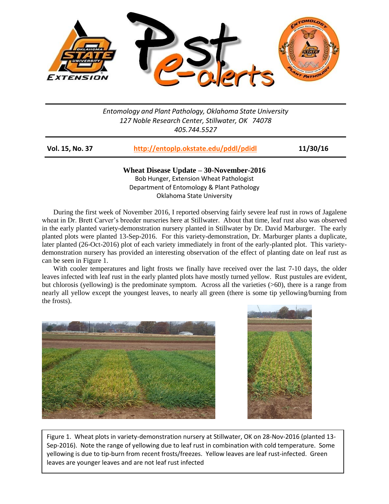

## *Entomology and Plant Pathology, Oklahoma State University 127 Noble Research Center, Stillwater, OK 74078 405.744.5527*

| <b>Vol. 15, No. 37</b> | http://entoplp.okstate.edu/pddl/pdidl | 11/30/16 |
|------------------------|---------------------------------------|----------|
|                        |                                       |          |

**Wheat Disease Update – 30-November-2016** Bob Hunger, Extension Wheat Pathologist Department of Entomology & Plant Pathology Oklahoma State University

During the first week of November 2016, I reported observing fairly severe leaf rust in rows of Jagalene wheat in Dr. Brett Carver's breeder nurseries here at Stillwater. About that time, leaf rust also was observed in the early planted variety-demonstration nursery planted in Stillwater by Dr. David Marburger. The early planted plots were planted 13-Sep-2016. For this variety-demonstration, Dr. Marburger plants a duplicate, later planted (26-Oct-2016) plot of each variety immediately in front of the early-planted plot. This varietydemonstration nursery has provided an interesting observation of the effect of planting date on leaf rust as can be seen in Figure 1.

With cooler temperatures and light frosts we finally have received over the last 7-10 days, the older leaves infected with leaf rust in the early planted plots have mostly turned yellow. Rust pustules are evident, but chlorosis (yellowing) is the predominate symptom. Across all the varieties (>60), there is a range from nearly all yellow except the youngest leaves, to nearly all green (there is some tip yellowing/burning from the frosts).





Figure 1. Wheat plots in variety-demonstration nursery at Stillwater, OK on 28-Nov-2016 (planted 13- Sep-2016). Note the range of yellowing due to leaf rust in combination with cold temperature. Some yellowing is due to tip-burn from recent frosts/freezes. Yellow leaves are leaf rust-infected. Green leaves are younger leaves and are not leaf rust infected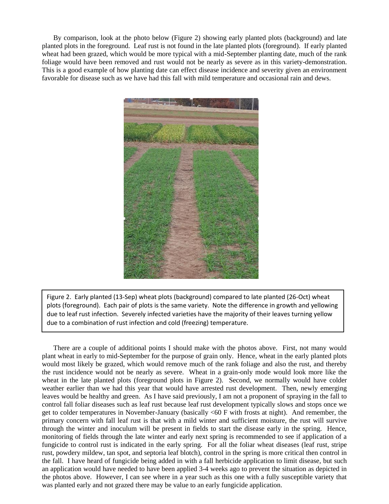By comparison, look at the photo below (Figure 2) showing early planted plots (background) and late planted plots in the foreground. Leaf rust is not found in the late planted plots (foreground). If early planted wheat had been grazed, which would be more typical with a mid-September planting date, much of the rank foliage would have been removed and rust would not be nearly as severe as in this variety-demonstration. This is a good example of how planting date can effect disease incidence and severity given an environment favorable for disease such as we have had this fall with mild temperature and occasional rain and dews.



Figure 2. Early planted (13-Sep) wheat plots (background) compared to late planted (26-Oct) wheat plots (foreground). Each pair of plots is the same variety. Note the difference in growth and yellowing due to leaf rust infection. Severely infected varieties have the majority of their leaves turning yellow due to a combination of rust infection and cold (freezing) temperature.

There are a couple of additional points I should make with the photos above. First, not many would plant wheat in early to mid-September for the purpose of grain only. Hence, wheat in the early planted plots would most likely be grazed, which would remove much of the rank foliage and also the rust, and thereby the rust incidence would not be nearly as severe. Wheat in a grain-only mode would look more like the wheat in the late planted plots (foreground plots in Figure 2). Second, we normally would have colder weather earlier than we had this year that would have arrested rust development. Then, newly emerging leaves would be healthy and green. As I have said previously, I am not a proponent of spraying in the fall to control fall foliar diseases such as leaf rust because leaf rust development typically slows and stops once we get to colder temperatures in November-January (basically <60 F with frosts at night). And remember, the primary concern with fall leaf rust is that with a mild winter and sufficient moisture, the rust will survive through the winter and inoculum will be present in fields to start the disease early in the spring. Hence, monitoring of fields through the late winter and early next spring is recommended to see if application of a fungicide to control rust is indicated in the early spring. For all the foliar wheat diseases (leaf rust, stripe rust, powdery mildew, tan spot, and septoria leaf blotch), control in the spring is more critical then control in the fall. I have heard of fungicide being added in with a fall herbicide application to limit disease, but such an application would have needed to have been applied 3-4 weeks ago to prevent the situation as depicted in the photos above. However, I can see where in a year such as this one with a fully susceptible variety that was planted early and not grazed there may be value to an early fungicide application.